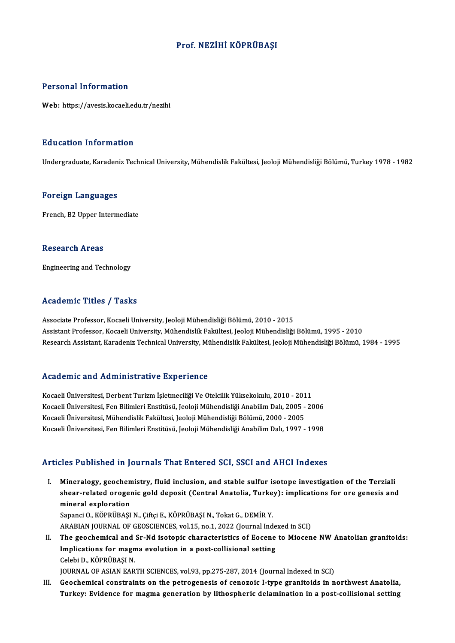# Prof.NEZİHİ KÖPRÜBAŞI

### Personal Information

Web: https://avesis.kocaeli.edu.tr/nezihi

## Education Information

Undergraduate, Karadeniz Technical University, Mühendislik Fakültesi, Jeoloji Mühendisliği Bölümü, Turkey 1978 - 1982

#### Foreign Languages

French, B2 Upper Intermediate

#### **Research Areas**

Engineering and Technology

## Academic Titles / Tasks

Associate Professor, Kocaeli University, Jeoloji Mühendisliği Bölümü, 2010 - 2015 AssistantProfessor,KocaeliUniversity,MühendislikFakültesi, JeolojiMühendisliğiBölümü,1995 -2010 Research Assistant, Karadeniz Technical University, Mühendislik Fakültesi, Jeoloji Mühendisliği Bölümü, 1984 - 1995

### Academic and Administrative Experience

Academic and Administrative Experience<br>Kocaeli Üniversitesi, Derbent Turizm İşletmeciliği Ve Otelcilik Yüksekokulu, 2010 - 2011<br>Kosaeli Üniversitesi, Fan Bilimleri Enstitüsü, Jeoleji Mühandisliği Anabilim Dalı, 2005 - 20 Kocaeli Üniversitesi, Derbent Turizm İşletmeciliği Ve Otelcilik Yüksekokulu, 2010 - 2011<br>Kocaeli Üniversitesi, Pen Bilimleri Enstitüsü, Jeoloji Mühendisliği Anabilim Dalı, 2005 - 2006<br>Kosaeli Üniversitesi, Mühandislik Fels Kocaeli Üniversitesi, Derbent Turizm İşletmeciliği Ve Otelcilik Yüksekokulu, 2010 - 201<br>Kocaeli Üniversitesi, Fen Bilimleri Enstitüsü, Jeoloji Mühendisliği Anabilim Dalı, 2005 -<br>Kocaeli Üniversitesi, Mühendislik Fakültesi, Kocaeli Üniversitesi, Fen Bilimleri Enstitüsü, Jeoloji Mühendisliği Anabilim Dalı, 2005 - 2006<br>Kocaeli Üniversitesi, Mühendislik Fakültesi, Jeoloji Mühendisliği Bölümü, 2000 - 2005<br>Kocaeli Üniversitesi, Fen Bilimleri Ensti Kocaeli Üniversitesi, Fen Bilimleri Enstitüsü, Jeoloji Mühendisliği Anabilim Dalı, 1997 - 1998<br>Articles Published in Journals That Entered SCI, SSCI and AHCI Indexes

- rticles Published in Journals That Entered SCI, SSCI and AHCI Indexes<br>I. Mineralogy, geochemistry, fluid inclusion, and stable sulfur isotope investigation of the Terziali shear-related orogenic gold deposit (Central Anatolia, Turkey): implications for ore genesis and Mineralogy, geochen<br>shear-related orogen<br>mineral exploration<br>Sanangi O. KÖPPÜPASI Sapanci O., KÖPRÜBAŞI N., Çiftçi E., KÖPRÜBAŞI N., Tokat G., DEMİR Y. mineral exploration<br>Sapanci O., KÖPRÜBAŞI N., Çiftçi E., KÖPRÜBAŞI N., Tokat G., DEMİR Y.<br>ARABIAN JOURNAL OF GEOSCIENCES, vol.15, no.1, 2022 (Journal Indexed in SCI)<br>The geochemical and Sr. Nd isotonis sharasteristics of E
- II. The geochemical and Sr-Nd isotopic characteristics of Eocene to Miocene NW Anatolian granitoids: ARABIAN JOURNAL OF GEOSCIENCES, vol.15, no.1, 2022 (Journal Inde<br>The geochemical and Sr-Nd isotopic characteristics of Eocene<br>Implications for magma evolution in a post-collisional setting<br>Celebi D. KÖPPÜPASLN Implications for magma evolution in a post-collisional setting<br>Celebi D., KÖPRÜBAŞI N.

JOURNAL OF ASIAN EARTH SCIENCES, vol.93, pp.275-287, 2014 (Journal Indexed in SCI)

III. Geochemical constraints on the petrogenesis of cenozoic I-type granitoids in northwest Anatolia, Turkey: Evidence for magma generation by lithospheric delamination in a post-collisional setting